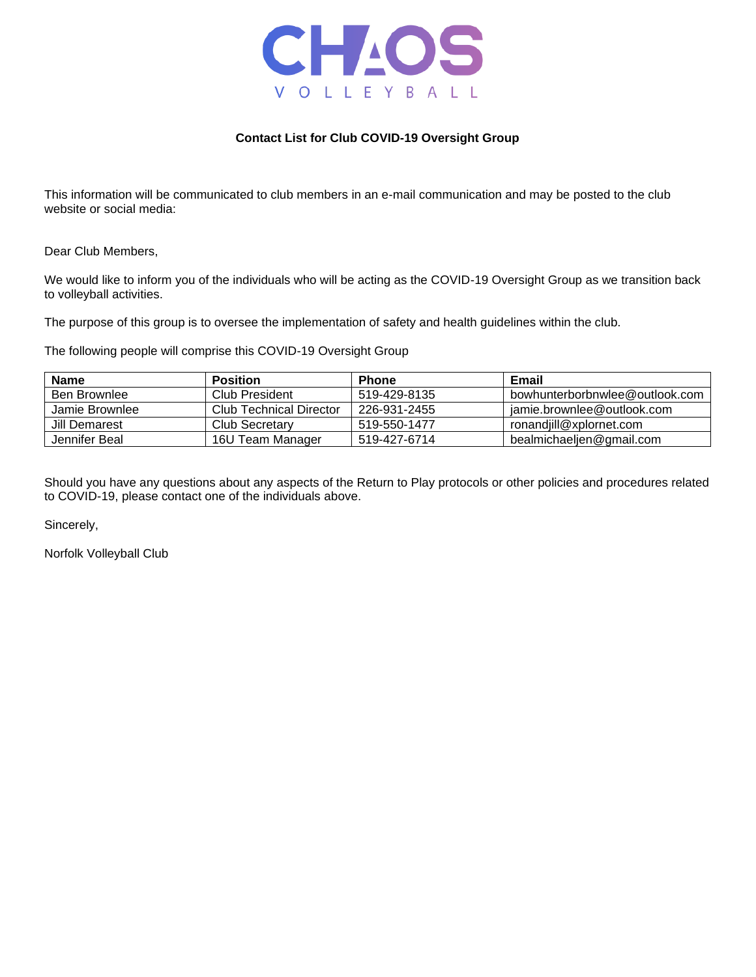

## **Contact List for Club COVID-19 Oversight Group**

This information will be communicated to club members in an e-mail communication and may be posted to the club website or social media:

Dear Club Members,

We would like to inform you of the individuals who will be acting as the COVID-19 Oversight Group as we transition back to volleyball activities.

The purpose of this group is to oversee the implementation of safety and health guidelines within the club.

The following people will comprise this COVID-19 Oversight Group

| <b>Name</b>    | <b>Position</b>         | <b>Phone</b> | Email                          |
|----------------|-------------------------|--------------|--------------------------------|
| Ben Brownlee   | Club President          | 519-429-8135 | bowhunterborbnwlee@outlook.com |
| Jamie Brownlee | Club Technical Director | 226-931-2455 | jamie.brownlee@outlook.com     |
| Jill Demarest  | Club Secretary          | 519-550-1477 | ronandiill@xplornet.com        |
| Jennifer Beal  | 16U Team Manager        | 519-427-6714 | bealmichaeljen@gmail.com       |

Should you have any questions about any aspects of the Return to Play protocols or other policies and procedures related to COVID-19, please contact one of the individuals above.

Sincerely,

Norfolk Volleyball Club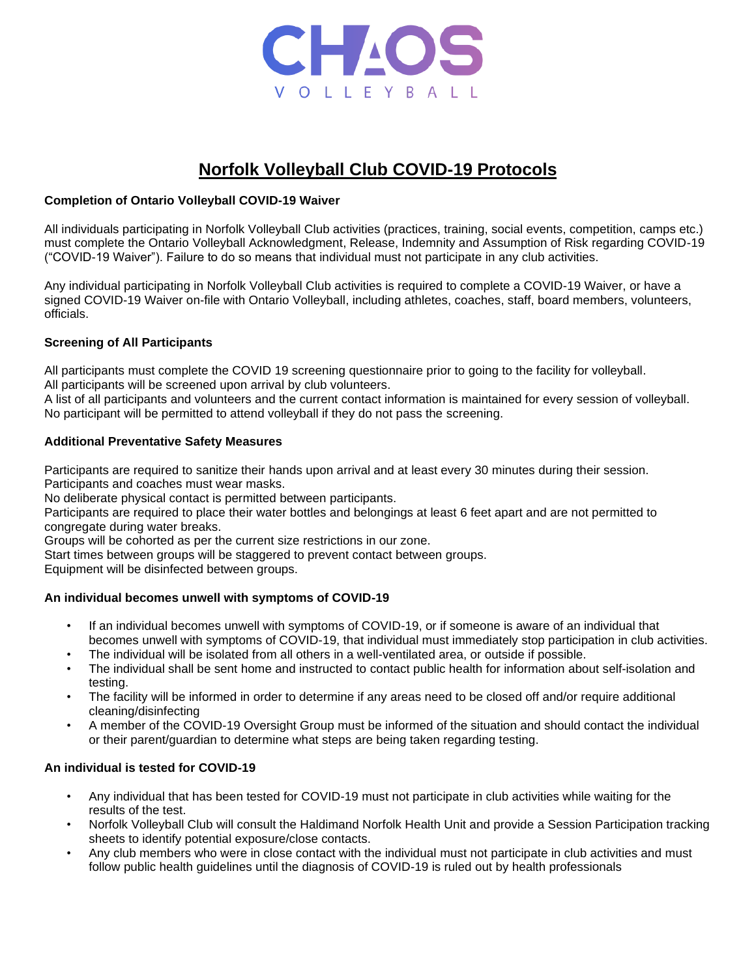

# **Norfolk Volleyball Club COVID-19 Protocols**

# **Completion of Ontario Volleyball COVID-19 Waiver**

All individuals participating in Norfolk Volleyball Club activities (practices, training, social events, competition, camps etc.) must complete the Ontario Volleyball Acknowledgment, Release, Indemnity and Assumption of Risk regarding COVID-19 ("COVID-19 Waiver"). Failure to do so means that individual must not participate in any club activities.

Any individual participating in Norfolk Volleyball Club activities is required to complete a COVID-19 Waiver, or have a signed COVID-19 Waiver on-file with Ontario Volleyball, including athletes, coaches, staff, board members, volunteers, officials.

# **Screening of All Participants**

All participants must complete the COVID 19 screening questionnaire prior to going to the facility for volleyball. All participants will be screened upon arrival by club volunteers.

A list of all participants and volunteers and the current contact information is maintained for every session of volleyball. No participant will be permitted to attend volleyball if they do not pass the screening.

# **Additional Preventative Safety Measures**

Participants are required to sanitize their hands upon arrival and at least every 30 minutes during their session. Participants and coaches must wear masks.

No deliberate physical contact is permitted between participants.

Participants are required to place their water bottles and belongings at least 6 feet apart and are not permitted to congregate during water breaks.

Groups will be cohorted as per the current size restrictions in our zone.

Start times between groups will be staggered to prevent contact between groups.

Equipment will be disinfected between groups.

# **An individual becomes unwell with symptoms of COVID-19**

- If an individual becomes unwell with symptoms of COVID-19, or if someone is aware of an individual that becomes unwell with symptoms of COVID-19, that individual must immediately stop participation in club activities.
- The individual will be isolated from all others in a well-ventilated area, or outside if possible.
- The individual shall be sent home and instructed to contact public health for information about self-isolation and testing.
- The facility will be informed in order to determine if any areas need to be closed off and/or require additional cleaning/disinfecting
- A member of the COVID-19 Oversight Group must be informed of the situation and should contact the individual or their parent/guardian to determine what steps are being taken regarding testing.

# **An individual is tested for COVID-19**

- Any individual that has been tested for COVID-19 must not participate in club activities while waiting for the results of the test.
- Norfolk Volleyball Club will consult the Haldimand Norfolk Health Unit and provide a Session Participation tracking sheets to identify potential exposure/close contacts.
- Any club members who were in close contact with the individual must not participate in club activities and must follow public health guidelines until the diagnosis of COVID-19 is ruled out by health professionals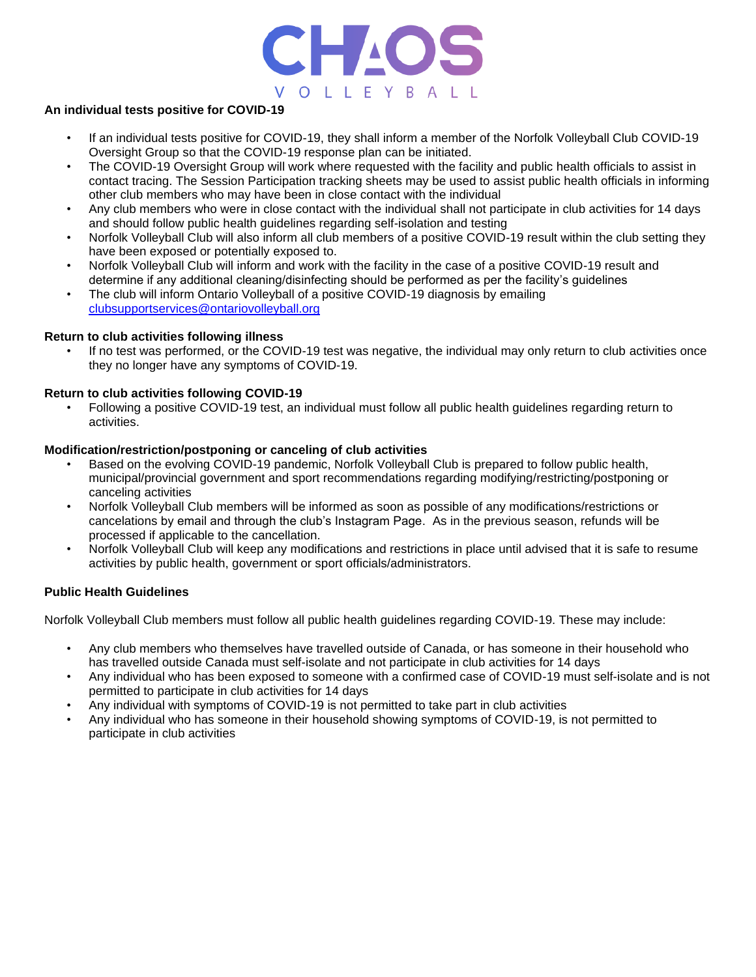

## **An individual tests positive for COVID-19**

- If an individual tests positive for COVID-19, they shall inform a member of the Norfolk Volleyball Club COVID-19 Oversight Group so that the COVID-19 response plan can be initiated.
- The COVID-19 Oversight Group will work where requested with the facility and public health officials to assist in contact tracing. The Session Participation tracking sheets may be used to assist public health officials in informing other club members who may have been in close contact with the individual
- Any club members who were in close contact with the individual shall not participate in club activities for 14 days and should follow public health guidelines regarding self-isolation and testing
- Norfolk Volleyball Club will also inform all club members of a positive COVID-19 result within the club setting they have been exposed or potentially exposed to.
- Norfolk Volleyball Club will inform and work with the facility in the case of a positive COVID-19 result and determine if any additional cleaning/disinfecting should be performed as per the facility's guidelines
- The club will inform Ontario Volleyball of a positive COVID-19 diagnosis by emailing [clubsupportservices@ontariovolleyball.org](mailto:clubsupportservices@ontariovolleyball.org)

### **Return to club activities following illness**

If no test was performed, or the COVID-19 test was negative, the individual may only return to club activities once they no longer have any symptoms of COVID-19.

### **Return to club activities following COVID-19**

• Following a positive COVID-19 test, an individual must follow all public health guidelines regarding return to activities.

### **Modification/restriction/postponing or canceling of club activities**

- Based on the evolving COVID-19 pandemic, Norfolk Volleyball Club is prepared to follow public health, municipal/provincial government and sport recommendations regarding modifying/restricting/postponing or canceling activities
- Norfolk Volleyball Club members will be informed as soon as possible of any modifications/restrictions or cancelations by email and through the club's Instagram Page. As in the previous season, refunds will be processed if applicable to the cancellation.
- Norfolk Volleyball Club will keep any modifications and restrictions in place until advised that it is safe to resume activities by public health, government or sport officials/administrators.

### **Public Health Guidelines**

Norfolk Volleyball Club members must follow all public health guidelines regarding COVID-19. These may include:

- Any club members who themselves have travelled outside of Canada, or has someone in their household who has travelled outside Canada must self-isolate and not participate in club activities for 14 days
- Any individual who has been exposed to someone with a confirmed case of COVID-19 must self-isolate and is not permitted to participate in club activities for 14 days
- Any individual with symptoms of COVID-19 is not permitted to take part in club activities
- Any individual who has someone in their household showing symptoms of COVID-19, is not permitted to participate in club activities